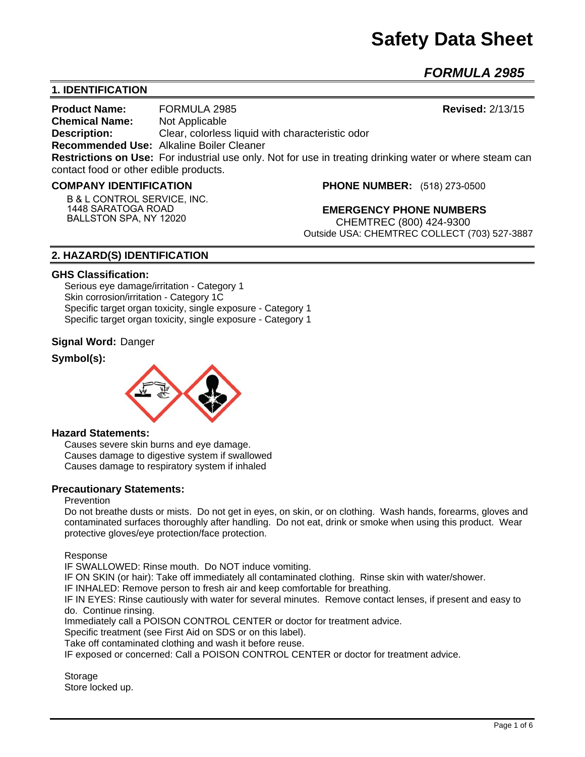# **Safety Data Sheet**

*FORMULA 2985* 

# **1. IDENTIFICATION**

**Product Name:** FORMULA 2985 **Revised:** 2/13/15 **Chemical Name:** Not Applicable **Description:** Clear, colorless liquid with characteristic odor **Recommended Use:** Alkaline Boiler Cleaner **Restrictions on Use:** For industrial use only. Not for use in treating drinking water or where steam can contact food or other edible products.

#### **COMPANY IDENTIFICATION**

**B & L CONTROL SERVICE, INC. 1448 SARATOGA ROAD BALLSTON SPA, NY 12020**

**PHONE NUMBER:** (518) 273-0500

**EMERGENCY PHONE NUMBERS** CHEMTREC (800) 424-9300 Outside USA: CHEMTREC COLLECT (703) 527-3887

## **2. HAZARD(S) IDENTIFICATION**

#### **GHS Classification:**

Serious eye damage/irritation - Category 1 Skin corrosion/irritation - Category 1C Specific target organ toxicity, single exposure - Category 1 Specific target organ toxicity, single exposure - Category 1

### **Signal Word:** Danger

## **Symbol(s):**



#### **Hazard Statements:**

Causes severe skin burns and eye damage. Causes damage to digestive system if swallowed Causes damage to respiratory system if inhaled

#### **Precautionary Statements:**

#### Prevention

Do not breathe dusts or mists. Do not get in eyes, on skin, or on clothing. Wash hands, forearms, gloves and contaminated surfaces thoroughly after handling. Do not eat, drink or smoke when using this product. Wear protective gloves/eye protection/face protection.

Response

IF SWALLOWED: Rinse mouth. Do NOT induce vomiting.

IF ON SKIN (or hair): Take off immediately all contaminated clothing. Rinse skin with water/shower.

IF INHALED: Remove person to fresh air and keep comfortable for breathing.

IF IN EYES: Rinse cautiously with water for several minutes. Remove contact lenses, if present and easy to do. Continue rinsing.

Immediately call a POISON CONTROL CENTER or doctor for treatment advice.

Specific treatment (see First Aid on SDS or on this label).

Take off contaminated clothing and wash it before reuse.

IF exposed or concerned: Call a POISON CONTROL CENTER or doctor for treatment advice.

**Storage** Store locked up.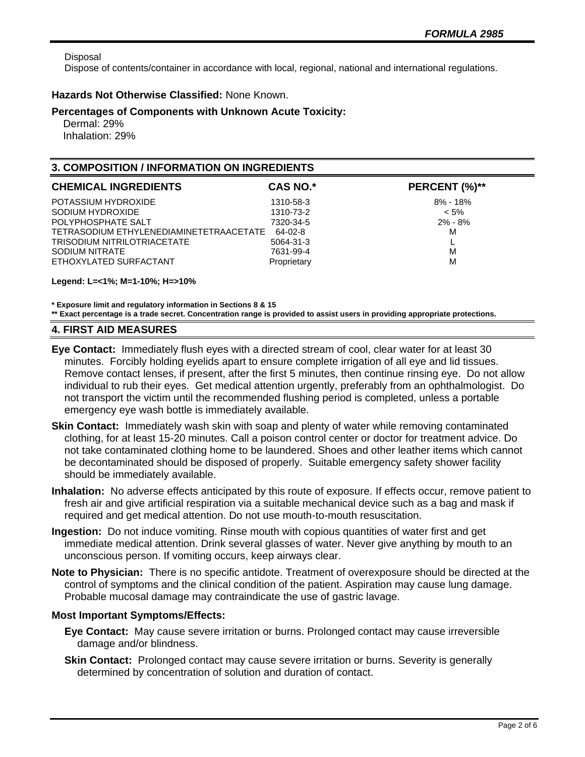Disposal

Dispose of contents/container in accordance with local, regional, national and international regulations.

## **Hazards Not Otherwise Classified:** None Known.

## **Percentages of Components with Unknown Acute Toxicity:**

 Dermal: 29% Inhalation: 29%

## **3. COMPOSITION / INFORMATION ON INGREDIENTS**

| <b>CHEMICAL INGREDIENTS</b>             | <b>CAS NO.*</b> | PERCENT (%)** |
|-----------------------------------------|-----------------|---------------|
| POTASSIUM HYDROXIDE                     | 1310-58-3       | $8\% - 18\%$  |
| SODIUM HYDROXIDE                        | 1310-73-2       | $< 5\%$       |
| POLYPHOSPHATE SALT                      | 7320-34-5       | $2\% - 8\%$   |
| TETRASODIUM ETHYLENEDIAMINETETRAACETATE | 64-02-8         | М             |
| <b>TRISODIUM NITRILOTRIACETATE</b>      | 5064-31-3       |               |
| SODIUM NITRATE                          | 7631-99-4       | M             |
| ETHOXYLATED SURFACTANT                  | Proprietary     | M             |
|                                         |                 |               |

#### **Legend: L=<1%; M=1-10%; H=>10%**

**\* Exposure limit and regulatory information in Sections 8 & 15 \*\* Exact percentage is a trade secret. Concentration range is provided to assist users in providing appropriate protections.**

## **4. FIRST AID MEASURES**

- **Eye Contact:** Immediately flush eyes with a directed stream of cool, clear water for at least 30 minutes. Forcibly holding eyelids apart to ensure complete irrigation of all eye and lid tissues. Remove contact lenses, if present, after the first 5 minutes, then continue rinsing eye. Do not allow individual to rub their eyes. Get medical attention urgently, preferably from an ophthalmologist. Do not transport the victim until the recommended flushing period is completed, unless a portable emergency eye wash bottle is immediately available.
- **Skin Contact:** Immediately wash skin with soap and plenty of water while removing contaminated clothing, for at least 15-20 minutes. Call a poison control center or doctor for treatment advice. Do not take contaminated clothing home to be laundered. Shoes and other leather items which cannot be decontaminated should be disposed of properly. Suitable emergency safety shower facility should be immediately available.
- **Inhalation:** No adverse effects anticipated by this route of exposure. If effects occur, remove patient to fresh air and give artificial respiration via a suitable mechanical device such as a bag and mask if required and get medical attention. Do not use mouth-to-mouth resuscitation.
- **Ingestion:** Do not induce vomiting. Rinse mouth with copious quantities of water first and get immediate medical attention. Drink several glasses of water. Never give anything by mouth to an unconscious person. If vomiting occurs, keep airways clear.
- **Note to Physician:** There is no specific antidote. Treatment of overexposure should be directed at the control of symptoms and the clinical condition of the patient. Aspiration may cause lung damage. Probable mucosal damage may contraindicate the use of gastric lavage.

## **Most Important Symptoms/Effects:**

- **Eye Contact:** May cause severe irritation or burns. Prolonged contact may cause irreversible damage and/or blindness.
- **Skin Contact:** Prolonged contact may cause severe irritation or burns. Severity is generally determined by concentration of solution and duration of contact.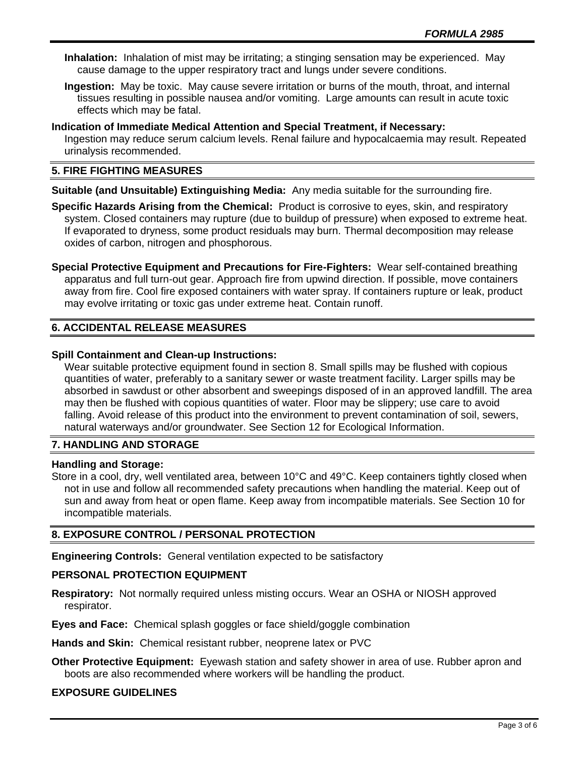**Inhalation:** Inhalation of mist may be irritating; a stinging sensation may be experienced. May cause damage to the upper respiratory tract and lungs under severe conditions.

**Ingestion:** May be toxic. May cause severe irritation or burns of the mouth, throat, and internal tissues resulting in possible nausea and/or vomiting. Large amounts can result in acute toxic effects which may be fatal.

### **Indication of Immediate Medical Attention and Special Treatment, if Necessary:** Ingestion may reduce serum calcium levels. Renal failure and hypocalcaemia may result. Repeated urinalysis recommended.

# **5. FIRE FIGHTING MEASURES**

**Suitable (and Unsuitable) Extinguishing Media:** Any media suitable for the surrounding fire.

**Specific Hazards Arising from the Chemical:** Product is corrosive to eyes, skin, and respiratory system. Closed containers may rupture (due to buildup of pressure) when exposed to extreme heat. If evaporated to dryness, some product residuals may burn. Thermal decomposition may release oxides of carbon, nitrogen and phosphorous.

**Special Protective Equipment and Precautions for Fire-Fighters:** Wear self-contained breathing apparatus and full turn-out gear. Approach fire from upwind direction. If possible, move containers away from fire. Cool fire exposed containers with water spray. If containers rupture or leak, product may evolve irritating or toxic gas under extreme heat. Contain runoff.

# **6. ACCIDENTAL RELEASE MEASURES**

## **Spill Containment and Clean-up Instructions:**

Wear suitable protective equipment found in section 8. Small spills may be flushed with copious quantities of water, preferably to a sanitary sewer or waste treatment facility. Larger spills may be absorbed in sawdust or other absorbent and sweepings disposed of in an approved landfill. The area may then be flushed with copious quantities of water. Floor may be slippery; use care to avoid falling. Avoid release of this product into the environment to prevent contamination of soil, sewers, natural waterways and/or groundwater. See Section 12 for Ecological Information.

# **7. HANDLING AND STORAGE**

## **Handling and Storage:**

Store in a cool, dry, well ventilated area, between 10°C and 49°C. Keep containers tightly closed when not in use and follow all recommended safety precautions when handling the material. Keep out of sun and away from heat or open flame. Keep away from incompatible materials. See Section 10 for incompatible materials.

# **8. EXPOSURE CONTROL / PERSONAL PROTECTION**

**Engineering Controls:** General ventilation expected to be satisfactory

## **PERSONAL PROTECTION EQUIPMENT**

**Respiratory:** Not normally required unless misting occurs. Wear an OSHA or NIOSH approved respirator.

**Eyes and Face:** Chemical splash goggles or face shield/goggle combination

**Hands and Skin:** Chemical resistant rubber, neoprene latex or PVC

**Other Protective Equipment:** Eyewash station and safety shower in area of use. Rubber apron and boots are also recommended where workers will be handling the product.

## **EXPOSURE GUIDELINES**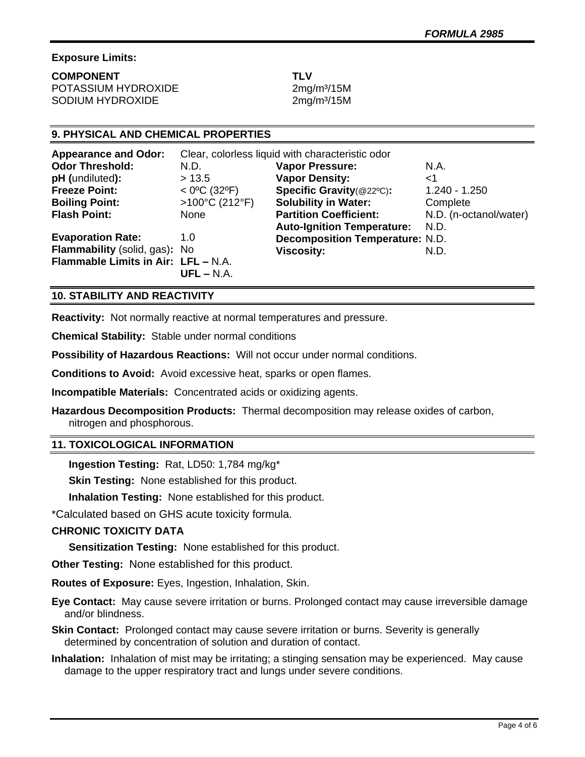# **Exposure Limits:**

**COMPONENT TLV** POTASSIUM HYDROXIDE 2mg/m<sup>3</sup>/15M SODIUM HYDROXIDE 2mg/m<sup>3</sup>/15M

# **9. PHYSICAL AND CHEMICAL PROPERTIES**

| <b>Appearance and Odor:</b>         | Clear, colorless liquid with characteristic odor |                                        |                        |
|-------------------------------------|--------------------------------------------------|----------------------------------------|------------------------|
| <b>Odor Threshold:</b>              | N.D.                                             | <b>Vapor Pressure:</b>                 | N.A.                   |
| pH (undiluted):                     | > 13.5                                           | <b>Vapor Density:</b>                  | $<$ 1                  |
| <b>Freeze Point:</b>                | $<$ 0°C (32°F)                                   | Specific Gravity(@22°C):               | $1.240 - 1.250$        |
| <b>Boiling Point:</b>               | >100°C (212°F)                                   | <b>Solubility in Water:</b>            | Complete               |
| <b>Flash Point:</b>                 | <b>None</b>                                      | <b>Partition Coefficient:</b>          | N.D. (n-octanol/water) |
|                                     |                                                  | <b>Auto-Ignition Temperature:</b>      | N.D.                   |
| <b>Evaporation Rate:</b>            | 1.0                                              | <b>Decomposition Temperature: N.D.</b> |                        |
| Flammability (solid, gas): No       |                                                  | <b>Viscosity:</b>                      | N.D.                   |
| Flammable Limits in Air: LFL - N.A. |                                                  |                                        |                        |
|                                     | $UFL - N.A.$                                     |                                        |                        |

## **10. STABILITY AND REACTIVITY**

**Reactivity:** Not normally reactive at normal temperatures and pressure.

**Chemical Stability:** Stable under normal conditions

**Possibility of Hazardous Reactions:** Will not occur under normal conditions.

**Conditions to Avoid:** Avoid excessive heat, sparks or open flames.

**Incompatible Materials:** Concentrated acids or oxidizing agents.

**Hazardous Decomposition Products:** Thermal decomposition may release oxides of carbon, nitrogen and phosphorous.

## **11. TOXICOLOGICAL INFORMATION**

**Ingestion Testing:** Rat, LD50: 1,784 mg/kg\*

**Skin Testing: None established for this product.** 

**Inhalation Testing:** None established for this product.

\*Calculated based on GHS acute toxicity formula.

# **CHRONIC TOXICITY DATA**

**Sensitization Testing:** None established for this product.

**Other Testing:** None established for this product.

**Routes of Exposure:** Eyes, Ingestion, Inhalation, Skin.

**Eye Contact:** May cause severe irritation or burns. Prolonged contact may cause irreversible damage and/or blindness.

**Skin Contact:** Prolonged contact may cause severe irritation or burns. Severity is generally determined by concentration of solution and duration of contact.

**Inhalation:** Inhalation of mist may be irritating; a stinging sensation may be experienced. May cause damage to the upper respiratory tract and lungs under severe conditions.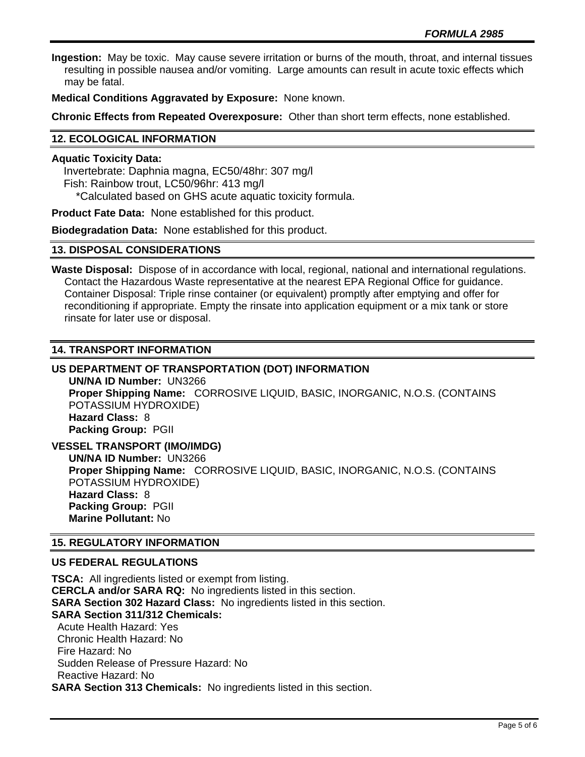**Ingestion:** May be toxic. May cause severe irritation or burns of the mouth, throat, and internal tissues resulting in possible nausea and/or vomiting. Large amounts can result in acute toxic effects which may be fatal.

**Medical Conditions Aggravated by Exposure:** None known.

**Chronic Effects from Repeated Overexposure:** Other than short term effects, none established.

## **12. ECOLOGICAL INFORMATION**

#### **Aquatic Toxicity Data:**

 Invertebrate: Daphnia magna, EC50/48hr: 307 mg/l Fish: Rainbow trout, LC50/96hr: 413 mg/l \*Calculated based on GHS acute aquatic toxicity formula.

**Product Fate Data:** None established for this product.

**Biodegradation Data:** None established for this product.

### **13. DISPOSAL CONSIDERATIONS**

**Waste Disposal:** Dispose of in accordance with local, regional, national and international regulations. Contact the Hazardous Waste representative at the nearest EPA Regional Office for guidance. Container Disposal: Triple rinse container (or equivalent) promptly after emptying and offer for reconditioning if appropriate. Empty the rinsate into application equipment or a mix tank or store rinsate for later use or disposal.

### **14. TRANSPORT INFORMATION**

# **US DEPARTMENT OF TRANSPORTATION (DOT) INFORMATION**

**UN/NA ID Number:** UN3266 **Proper Shipping Name:** CORROSIVE LIQUID, BASIC, INORGANIC, N.O.S. (CONTAINS POTASSIUM HYDROXIDE) **Hazard Class:** 8 **Packing Group:** PGII

**VESSEL TRANSPORT (IMO/IMDG) UN/NA ID Number:** UN3266 **Proper Shipping Name:** CORROSIVE LIQUID, BASIC, INORGANIC, N.O.S. (CONTAINS POTASSIUM HYDROXIDE) **Hazard Class:** 8 **Packing Group:** PGII **Marine Pollutant:** No

#### **15. REGULATORY INFORMATION**

## **US FEDERAL REGULATIONS**

**TSCA:** All ingredients listed or exempt from listing. **CERCLA and/or SARA RQ:** No ingredients listed in this section. **SARA Section 302 Hazard Class:** No ingredients listed in this section. **SARA Section 311/312 Chemicals:**  Acute Health Hazard: Yes Chronic Health Hazard: No Fire Hazard: No Sudden Release of Pressure Hazard: No Reactive Hazard: No **SARA Section 313 Chemicals:** No ingredients listed in this section.